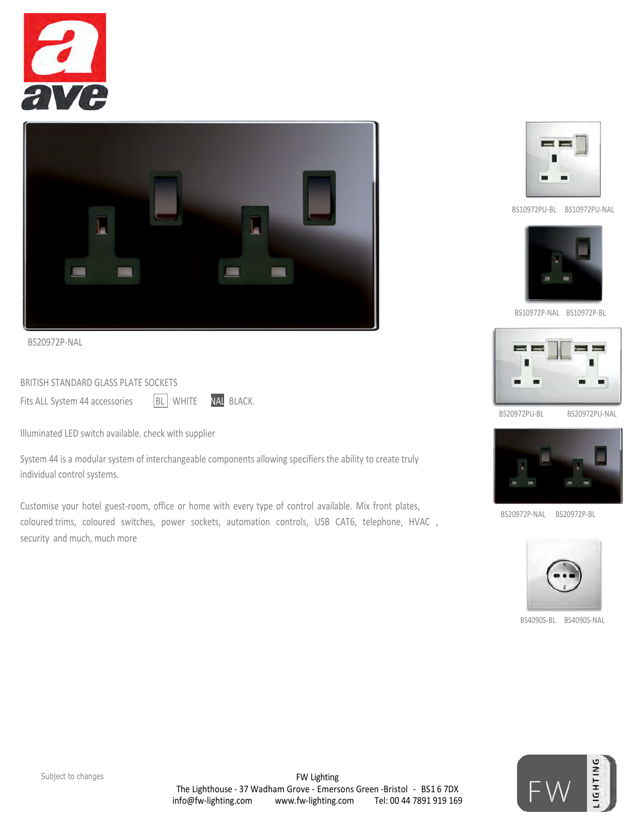



BS20972P-NAL

BRITISH STANDARD GLASS PLATE SOCKETS

Fits ALL System 44 accessories BL WHITE NAL BLACK.

Illuminated LED switch available. check with supplier

System 44 is a modular system of interchangeable components allowing specifiers the ability to create truly individual control systems.

Customise your hotel guest-room, office or home with every type of control available. Mix front plates, coloured trims, coloured switches, power sockets, automation controls, USB CAT6, telephone, HVAC , security and much, much more



BS10972PU-BL BS10972PU-NAL



BS10972P-NAL BS10972P-BL



BS20972PU-BL BS20972PU-NAL



BS20972P-NAL BS20972P-BL



BS4090S-BL BS4090S-NAL